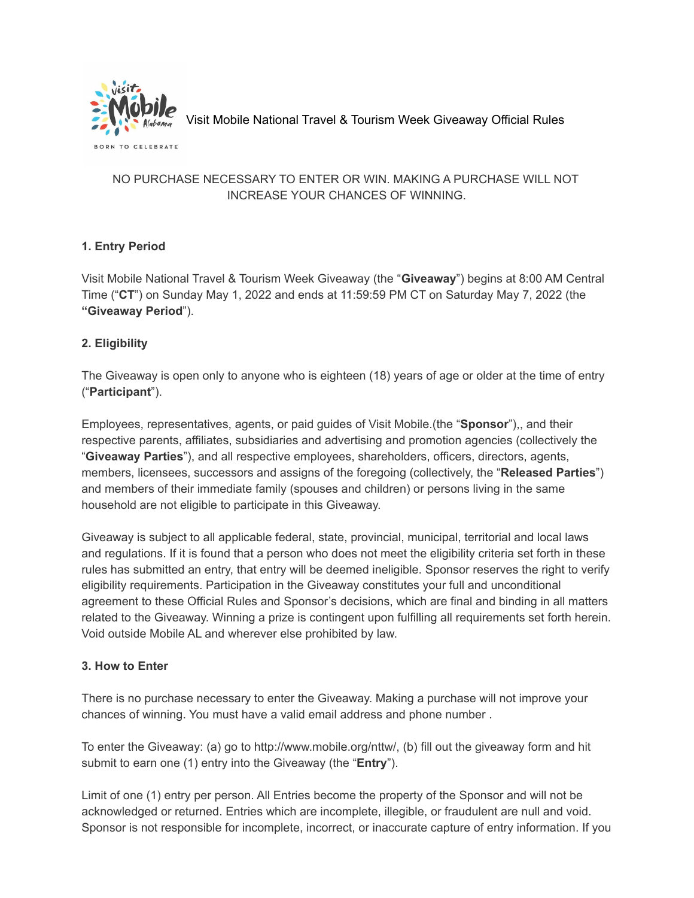

Visit Mobile National Travel & Tourism Week Giveaway Official Rules

### NO PURCHASE NECESSARY TO ENTER OR WIN. MAKING A PURCHASE WILL NOT INCREASE YOUR CHANCES OF WINNING.

# **1. Entry Period**

Visit Mobile National Travel & Tourism Week Giveaway (the "**Giveaway**") begins at 8:00 AM Central Time ("**CT**") on Sunday May 1, 2022 and ends at 11:59:59 PM CT on Saturday May 7, 2022 (the **"Giveaway Period**").

# **2. Eligibility**

The Giveaway is open only to anyone who is eighteen (18) years of age or older at the time of entry ("**Participant**").

Employees, representatives, agents, or paid guides of Visit Mobile.(the "**Sponsor**"),, and their respective parents, affiliates, subsidiaries and advertising and promotion agencies (collectively the "**Giveaway Parties**"), and all respective employees, shareholders, officers, directors, agents, members, licensees, successors and assigns of the foregoing (collectively, the "**Released Parties**") and members of their immediate family (spouses and children) or persons living in the same household are not eligible to participate in this Giveaway.

Giveaway is subject to all applicable federal, state, provincial, municipal, territorial and local laws and regulations. If it is found that a person who does not meet the eligibility criteria set forth in these rules has submitted an entry, that entry will be deemed ineligible. Sponsor reserves the right to verify eligibility requirements. Participation in the Giveaway constitutes your full and unconditional agreement to these Official Rules and Sponsor's decisions, which are final and binding in all matters related to the Giveaway. Winning a prize is contingent upon fulfilling all requirements set forth herein. Void outside Mobile AL and wherever else prohibited by law.

#### **3. How to Enter**

There is no purchase necessary to enter the Giveaway. Making a purchase will not improve your chances of winning. You must have a valid email address and phone number .

To enter the Giveaway: (a) go to http://www.mobile.org/nttw/, (b) fill out the giveaway form and hit submit to earn one (1) entry into the Giveaway (the "**Entry**").

Limit of one (1) entry per person. All Entries become the property of the Sponsor and will not be acknowledged or returned. Entries which are incomplete, illegible, or fraudulent are null and void. Sponsor is not responsible for incomplete, incorrect, or inaccurate capture of entry information. If you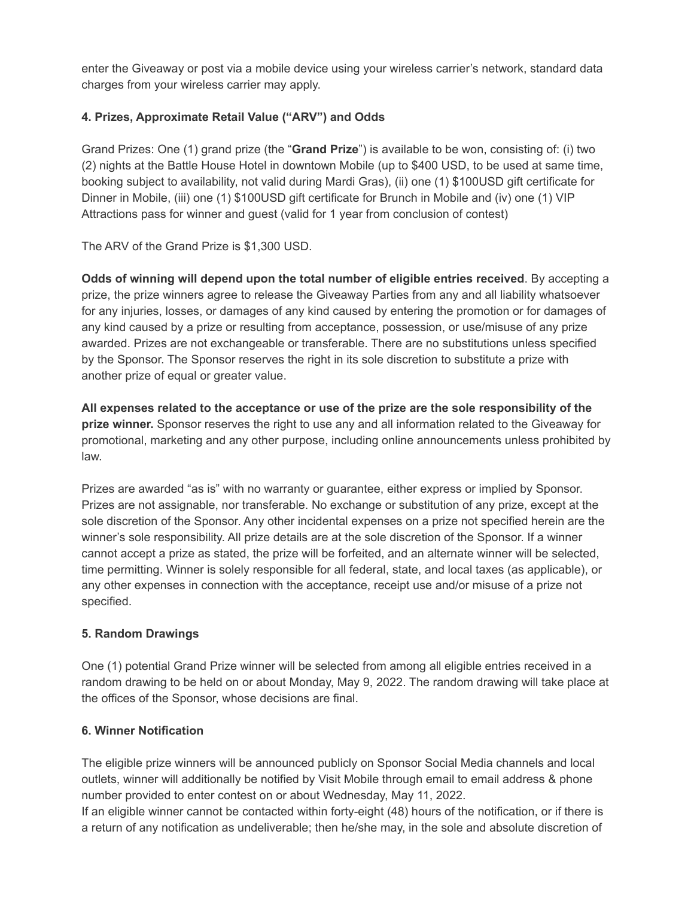enter the Giveaway or post via a mobile device using your wireless carrier's network, standard data charges from your wireless carrier may apply.

### **4. Prizes, Approximate Retail Value ("ARV") and Odds**

Grand Prizes: One (1) grand prize (the "**Grand Prize**") is available to be won, consisting of: (i) two (2) nights at the Battle House Hotel in downtown Mobile (up to \$400 USD, to be used at same time, booking subject to availability, not valid during Mardi Gras), (ii) one (1) \$100USD gift certificate for Dinner in Mobile, (iii) one (1) \$100USD gift certificate for Brunch in Mobile and (iv) one (1) VIP Attractions pass for winner and guest (valid for 1 year from conclusion of contest)

The ARV of the Grand Prize is \$1,300 USD.

**Odds of winning will depend upon the total number of eligible entries received**. By accepting a prize, the prize winners agree to release the Giveaway Parties from any and all liability whatsoever for any injuries, losses, or damages of any kind caused by entering the promotion or for damages of any kind caused by a prize or resulting from acceptance, possession, or use/misuse of any prize awarded. Prizes are not exchangeable or transferable. There are no substitutions unless specified by the Sponsor. The Sponsor reserves the right in its sole discretion to substitute a prize with another prize of equal or greater value.

**All expenses related to the acceptance or use of the prize are the sole responsibility of the prize winner.** Sponsor reserves the right to use any and all information related to the Giveaway for promotional, marketing and any other purpose, including online announcements unless prohibited by law.

Prizes are awarded "as is" with no warranty or guarantee, either express or implied by Sponsor. Prizes are not assignable, nor transferable. No exchange or substitution of any prize, except at the sole discretion of the Sponsor. Any other incidental expenses on a prize not specified herein are the winner's sole responsibility. All prize details are at the sole discretion of the Sponsor. If a winner cannot accept a prize as stated, the prize will be forfeited, and an alternate winner will be selected, time permitting. Winner is solely responsible for all federal, state, and local taxes (as applicable), or any other expenses in connection with the acceptance, receipt use and/or misuse of a prize not specified.

#### **5. Random Drawings**

One (1) potential Grand Prize winner will be selected from among all eligible entries received in a random drawing to be held on or about Monday, May 9, 2022. The random drawing will take place at the offices of the Sponsor, whose decisions are final.

#### **6. Winner Notification**

The eligible prize winners will be announced publicly on Sponsor Social Media channels and local outlets, winner will additionally be notified by Visit Mobile through email to email address & phone number provided to enter contest on or about Wednesday, May 11, 2022.

If an eligible winner cannot be contacted within forty-eight (48) hours of the notification, or if there is a return of any notification as undeliverable; then he/she may, in the sole and absolute discretion of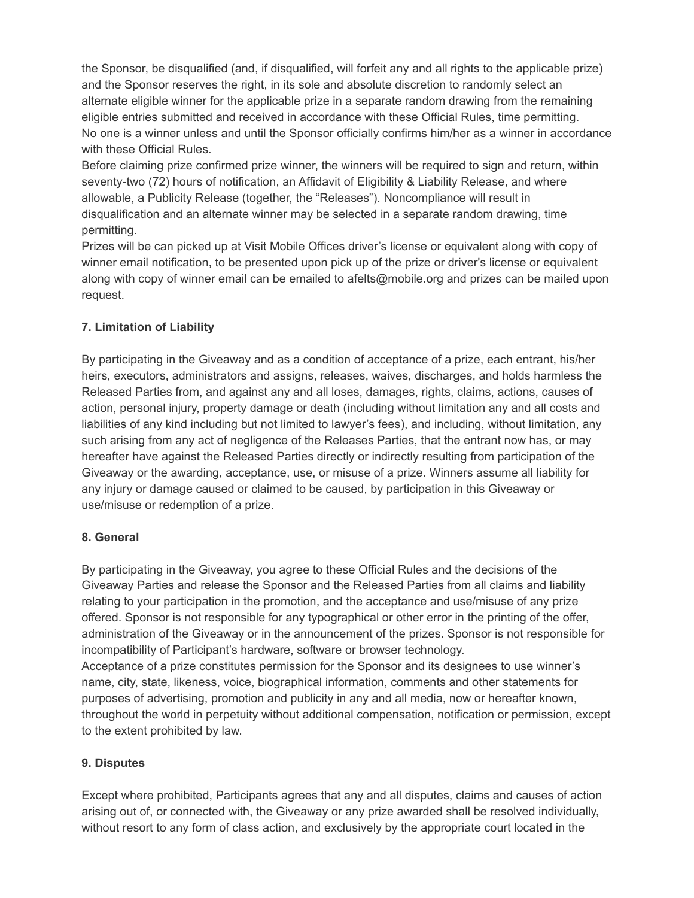the Sponsor, be disqualified (and, if disqualified, will forfeit any and all rights to the applicable prize) and the Sponsor reserves the right, in its sole and absolute discretion to randomly select an alternate eligible winner for the applicable prize in a separate random drawing from the remaining eligible entries submitted and received in accordance with these Official Rules, time permitting. No one is a winner unless and until the Sponsor officially confirms him/her as a winner in accordance with these Official Rules.

Before claiming prize confirmed prize winner, the winners will be required to sign and return, within seventy-two (72) hours of notification, an Affidavit of Eligibility & Liability Release, and where allowable, a Publicity Release (together, the "Releases"). Noncompliance will result in disqualification and an alternate winner may be selected in a separate random drawing, time permitting.

Prizes will be can picked up at Visit Mobile Offices driver's license or equivalent along with copy of winner email notification, to be presented upon pick up of the prize or driver's license or equivalent along with copy of winner email can be emailed to afelts@mobile.org and prizes can be mailed upon request.

# **7. Limitation of Liability**

By participating in the Giveaway and as a condition of acceptance of a prize, each entrant, his/her heirs, executors, administrators and assigns, releases, waives, discharges, and holds harmless the Released Parties from, and against any and all loses, damages, rights, claims, actions, causes of action, personal injury, property damage or death (including without limitation any and all costs and liabilities of any kind including but not limited to lawyer's fees), and including, without limitation, any such arising from any act of negligence of the Releases Parties, that the entrant now has, or may hereafter have against the Released Parties directly or indirectly resulting from participation of the Giveaway or the awarding, acceptance, use, or misuse of a prize. Winners assume all liability for any injury or damage caused or claimed to be caused, by participation in this Giveaway or use/misuse or redemption of a prize.

# **8. General**

By participating in the Giveaway, you agree to these Official Rules and the decisions of the Giveaway Parties and release the Sponsor and the Released Parties from all claims and liability relating to your participation in the promotion, and the acceptance and use/misuse of any prize offered. Sponsor is not responsible for any typographical or other error in the printing of the offer, administration of the Giveaway or in the announcement of the prizes. Sponsor is not responsible for incompatibility of Participant's hardware, software or browser technology. Acceptance of a prize constitutes permission for the Sponsor and its designees to use winner's name, city, state, likeness, voice, biographical information, comments and other statements for purposes of advertising, promotion and publicity in any and all media, now or hereafter known, throughout the world in perpetuity without additional compensation, notification or permission, except

to the extent prohibited by law.

# **9. Disputes**

Except where prohibited, Participants agrees that any and all disputes, claims and causes of action arising out of, or connected with, the Giveaway or any prize awarded shall be resolved individually, without resort to any form of class action, and exclusively by the appropriate court located in the